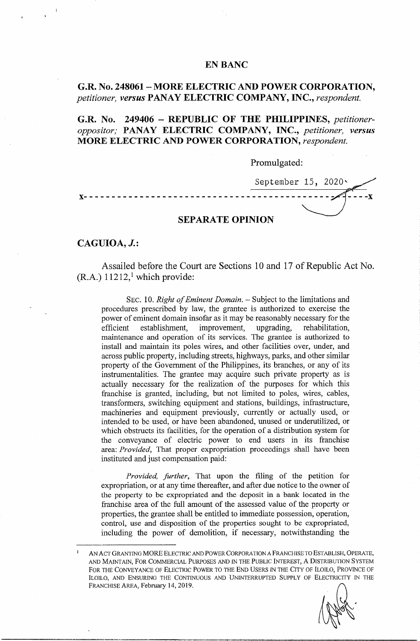### **EN BANC**

## **G.R. No. 248061** - **MORE ELECTRIC AND POWER CORPORATION,**  *petitioner, versus* **PANAY ELECTRIC COMPANY, INC.,** *respondent.*

**G.R. No. 249406** - **REPUBLIC OF THE PHILIPPINES,** *petitioneroppositor;* **PANAY ELECTRIC COMPANY, INC.,** *petitioner, versus*  **MORE ELECTRIC AND POWER CORPORATION,** *respondent.* 

Promulgated:

September 15, 2020\ **x------------------------~-------------------- SEPARATE OPINION** 

## **CAGUIOA, J.:**

Assailed before the Court are Sections 10 and 17 of Republic Act No.  $(R.A.)$  11212,<sup>1</sup> which provide:

SEC. 10. *Right of Eminent Domain*. – Subject to the limitations and procedures prescribed by law, the grantee is authorized to exercise the power of eminent domain insofar as it may be reasonably necessary for the efficient establishment, improvement, upgrading, rehabilitation, efficient establishment, improvement, upgrading, rehabilitation, maintenance and operation of its services. The grantee is authorized to install and maintain its poles wires, and other facilities over, under, and across public property, including streets, highways, parks, and other similar property of the Government of the Philippines, its branches, or any of its instrumentalities. The grantee may acquire such private property as is actually necessary for the realization of the purposes for which this franchise is granted, including, but not limited to poles, wires, cables, transformers, switching equipment and stations, buildings, infrastructure, machineries and equipment previously, currently or actually used, or intended to be used, or have been abandoned, unused or underutilized, or which obstructs its facilities, for the operation of a distribution system for the conveyance of electric power to end users in its franchise area: *Provided,* That proper expropriation proceedings shall have been instituted and just compensation paid:

*Provided, further,* That upon the filing of the petition for expropriation, or at any time thereafter, and after due notice to the owner of the property to be expropriated and the deposit in a bank located in the franchise area of the full amount of the assessed value of the property or properties, the grantee shall be entitled to immediate possession, operation, control, use and disposition of the properties sought to be expropriated, including the power of demolition, if necessary, notwithstanding the

AN ACT GRANTING MORE ELECTRIC AND POWER CORPORATION A FRANCHISE TO ESTABLISH, OPERATE, AND MAINTAIN, FOR COMMERCIAL PURPOSES AND IN THE PUBLIC INTEREST, A DISTRIBUTION SYSTEM FOR THE CONVEYANCE OF ELECTRIC POWER TO THE END USERS IN THE CITY OF ILOILO, PROVINCE OF ILOILO, AND ENSURING THE CONTINUOUS AND UNINTERRUPTED SUPPLY OF ELECTRICITY IN THE FRANCHISE AREA, February 14, 2019.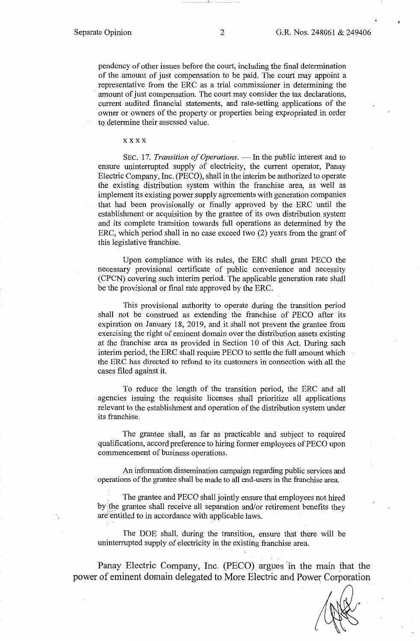pendency of other issues before the court, including the final determination of the amount of just compensation to be paid. The court may appoint a representative from the ERC as a trial commissioner in determining the amount of just compensation. The court may consider the tax declarations, current audited financial statements, and rate-setting applications of the owner or owners of the property or properties being expropriated in order to determine their assessed value.

#### xxxx

SEC. 17. *Transition of Operations*. — In the public interest and to ensure uninterrupted supply of electricity, the current operator, Panay Electric Company, Inc. (PECO), shall in the interim be authorized to operate the existing distribution system within the franchise area, as well as implement its existing power supply agreements with generation companies that had been provisionally or finally approved by the ERC until the establishment or acquisition by the grantee of its own distribution system and its complete transition towards full operations as determined by the ERC, which period shall in no case exceed two (2) years from the grant of this legislative franchise.

Upon compliance with its rules, the ERC shall grant PECO the necessary provisional certificate of public convenience and necessity (CPCN) covering such interim period. The applicable generation rate shall be the provisional or final rate approved by the ERC.

This provisional authority to operate during the transition period shall not be construed as extending the franchise of PECO after its expiration on January 18, 2019, and it shall not prevent the grantee from exercising the right of eminent domain over the distribution assets existing at the franchise area as provided in Section 10 of this Act. During such interim period, the ERC shall require PECO to settle the full amount which the ERC has directed to refund to its customers in connection with all the cases filed against it.

To reduce the length of the transition period, the ERC and all agencies issuing the requisite licenses shall prioritize all applications relevant to the establishment and operation of the distribution system under its franchise.

The grantee shall, as far as practicable and subject to required qualifications, accord preference to hiring former employees of PECO upon commencement of business operations.

An information dissemination campaign regarding public services and · operations of the grantee shall be made to all end-users in the franchise area.

The grantee and PECO shall jointly ensure that employees not hired by the grantee shall receive all separation and/or retirement benefits they are entitled to in accordance with applicable laws.

The DOE shall, during the transition, ensure that there will be uninterrupted supply of electricity in the existing franchise area.

Panay Electric Company, Inc. (PECO} argues 'in the main that the power of eminent domain delegated to More Electric and Power Corporation

- \_\_\_\_\_\_ \_;i\_\_ --- -- -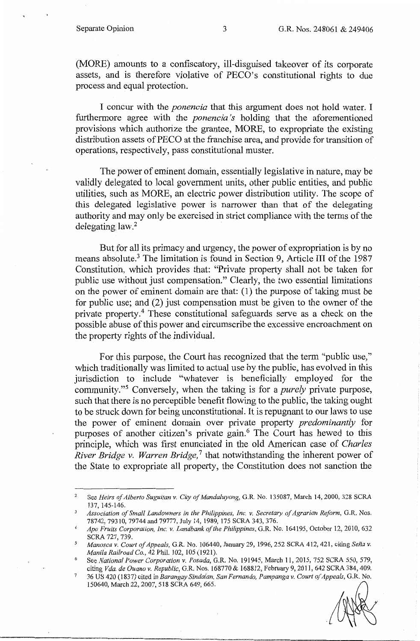(MORE) amounts to a confiscatory, ill-disguised takeover of its corporate assets, and is therefore violative of PECO's constitutional rights to due process and equal protection.

I concur with the *ponencia* that this argument does not hold water. I furthermore agree with the *ponencia 's* holding that the aforementioned provisions which authorize the grantee, MORE, to expropriate the existing distribution assets of PECO at the franchise area, and provide for transition of operations, respectively, pass constitutional muster.

The power of eminent domain, essentially legislative in nature, may be validly delegated to local government units, other public entities, and public utilities, such as MORE, an electric power distribution utility. The scope of this delegated legislative power is narrower than that of the delegating authority and may only be exercised in strict compliance with the terms of the delegating  $law<sup>2</sup>$ 

But for all its primacy and urgency, the power of expropriation is by no means absolute.<sup>3</sup> The limitation is found in Section 9, Article III of the 1987 Constitution, which provides that: "Private property shall not be taken for public use without just compensation." Clearly, the two essential limitations on the power of eminent domain are that: ( 1) the purpose of taking must be for public use; and (2) just compensation must be given to the owner of the private property.<sup>4</sup> These constitutional safeguards serve as a check on the possible abuse of this power and circumscribe the excessive encroachment on the property rights of the individual.

For this purpose, the Court has recognized that the term "public use," which traditionally was limited to actual use by the public, has evolved in this jurisdiction to include "whatever is beneficially employed for the community. "5 Conversely, when the taking is for a *purely* private purpose, such that there is no perceptible benefit flowing to the public, the taking ought to be struck down for being unconstitutional. It is repugnant to our laws to use the power of eminent domain over private property *predominantly* for purposes of another citizen's private gain.<sup>6</sup> The Court has hewed to this principle, which was first enunciated in the old American case of *Charles River Bridge v. Warren Bridge,* 7 that notwithstanding the inherent power of the State to expropriate all property, the Constitution does not sanction the

<sup>&</sup>lt;sup>2</sup> See *Heirs of Alberto Suguitan v. City of Mandaluyong*, G.R. No. 135087, March 14, 2000, 328 SCRA 137, 145-146.

<sup>&</sup>lt;sup>3</sup> Association of Small Landowners in the Philippines, Inc. v. Secretary of Agrarian Reform, G.R. Nos. 78742, 79310, 79744 and 79777, July 14, 1989, 175 SCRA 343, 376.

<sup>4</sup>*Apo Fruits Corporation, Inc. v. Landbank of the Philippines,* G.R. No. 164195, October 12, 2010, 632 SCRA 727, 739. *5 Manosca v. Court of Appeals,* G.R. No. 106440, January 29, 1996, 252 SCRA 412,421, citing *Sena v.* 

*Manila Railroad Co.,* 42 Phil. 102, 105 (1921).

<sup>6</sup>See *National Power Corporation v. Posada,* G.R. No. 191945, March 11, 2015, 752 SCRA 550, 579, citing *Vda. de Guano v. Republic,* G.R. Nos. 168770 & 168812, February 9, 2011, 642 SCRA 384,409.

<sup>7</sup>36 US 420 (1837) cited in *Barangay Sindalan, San Fernando, Pampanga v. Court of Appeals,* G.R. No. 150640, March 22, 2007, 518 SCRA 649,665.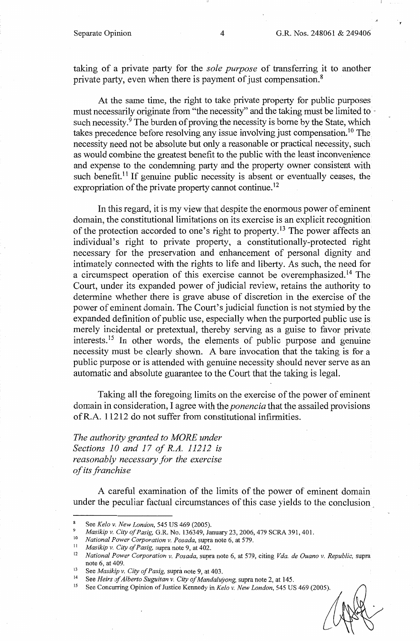taking of a private party for the *sole purpose* of transferring it to another private party, even when there is payment of just compensation.<sup>8</sup>

At the same time, the right to take private property for public purposes must necessarily originate from "the necessity" and the taking must be limited to · such necessity.<sup>9</sup> The burden of proving the necessity is borne by the State, which takes precedence before resolving any issue involving just compensation. 10 The necessity need not be absolute but only a reasonable or practical necessity, such as would combine the greatest benefit to the public with the least inconvenience and expense to the condemning party and the property owner consistent with such benefit.<sup>11</sup> If genuine public necessity is absent or eventually ceases, the expropriation of the private property cannot continue.<sup>12</sup>

In this regard, it is my view that despite the enormous power of eminent domain, the constitutional limitations on its exercise is an explicit recognition of the protection accorded to one's right to property.<sup>13</sup> The power affects an individual's right to private property, a constitutionally-protected right necessary for the preservation and enhancement of personal dignity and intimately connected with the rights to life and liberty. As such, the need for a circumspect operation of this exercise cannot be overemphasized. 14 The Court, under its expanded power of judicial review, retains the authority to determine whether there is grave abuse of discretion in the exercise of the power of eminent domain. The Court's judicial function is not stymied by the expanded definition of public use, especially when the purported public use is merely incidental or pretextual, thereby serving as a guise to favor private interests.<sup>15</sup> In other words, the elements of public purpose and genuine necessity must be clearly shown. A bare invocation that the taking is for a public purpose or is attended with genuine necessity should never serve as an automatic and absolute guarantee to the Court that the taking is legal.

Taking all the foregoing limits on the exercise of the power of eminent domain in consideration, I agree with the *ponencia* that the assailed provisions ofR.A. 11212 do not suffer from constitutional infirmities.

*The authority granted to MORE under Sections 10 and 17 of R.A. 11212 is reasonably necessary for the exercise of its franchise* 

A careful examination of the limits of the power of eminent domain under the peculiar factual circumstances of this case yields to the conclusion .

<sup>8</sup> See *Kela v. New London,* 545 US 469 (2005).

<sup>9</sup> *Masikip v. City of Pasig,* G.R. No. 136349, January 23, 2006, 479 SCRA 391,401.

<sup>10</sup>*National Power Corporation v. Posada,* supra note 6, at 579. 11 *Masikip v. City of Pasig,* supra note 9, at 402.

<sup>12</sup>*National Power Corporation v. Posada,* supra note 6, at 579, citing *Vda. de Guano v. Republic,* supra

<sup>&</sup>lt;sup>13</sup> See *Masikip v. City of Pasig, supra note 9, at 403.*<br><sup>14</sup> See Heirs of Alberto Suguitan v. City of Mandalui

<sup>&</sup>lt;sup>14</sup> See *Heirs of Alberto Suguitan v. City of Mandaluyong, supra note 2, at 145.*<br><sup>15</sup> See Concurring Opinion of Justice Kennedy in Kelo v. New London, 545 US

<sup>15</sup> See Concurring Opinion of Justice Kennedy in *Kela v. New London,* 545 US 469 (2005).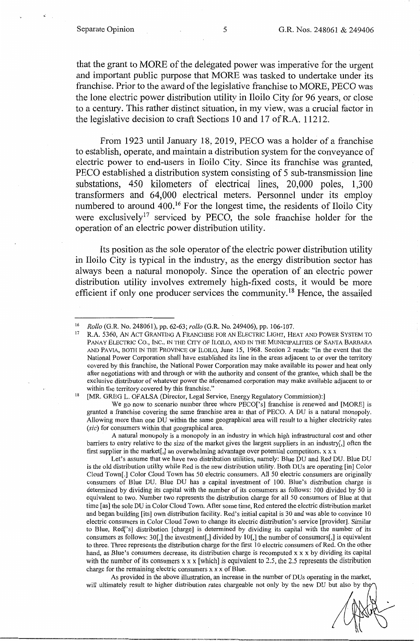that the grant to MORE of the delegated power was imperative for the urgent and important public purpose that MORE was tasked to undertake under its franchise. Prior to the award of the legislative franchise to MORE, PECO was the lone electric power distribution utility in Iloilo City for 96 years, or close to a century. This rather distinct situation, in my view, was a crucial factor in the legislative decision to craft Sections 10 and 17 ofR.A. 11212.

From 1923 until January 18, 2019, PECO was a holder of a franchise to establish, operate, and maintain a distribution system for the conveyance of electric power to end-users in Iloilo City. Since its franchise was granted, PECO established a distribution system consisting of 5 sub-transmission line substations, 450 kilometers of electrical lines, 20,000 poles, 1,300 transformers and 64,000 electrical meters. Personnel under its employ numbered to around 400.<sup>16</sup> For the longest time, the residents of Iloilo City were exclusively<sup>17</sup> serviced by PECO, the sole franchise holder for the operation of an electric power distribution utility.

Its position as the sole operator of the electric power distribution utility in Iloilo City is typical in the industry, as the energy distribution sector has always been a natural monopoly. Since the operation of an electric power distribution utility involves extremely high-fixed costs, it would be more efficient if only one producer services the community.<sup>18</sup> Hence, the assailed

A natural monopoly is a monopoly in an industry in which high infrastructural cost and other barriers to entry relative to the size of the market gives the largest suppliers in an industry[,] often the first supplier in the market[,] an overwhelming advantage over potential competitors.  $x \times x$ 

Let's assume that we have two distribution utilities, namely: Blue DU and Red DU. Blue DU is the old distribution utility while Red is the new distribution utility. Both DUs are operating [in] Color Cloud Town[.] Color Cloud Town has 50 electric consumers. All 50 electric consumers are originally consumers of Blue DU. Blue DU has a capital investment of 100. Blue's distribution charge is determined by dividing its capital with the number of its consumers as follows: 100 divided by 50 is equivalent to two. Number two represents the distribution charge for all 50 consumers of Blue at that time [as] the sole DU in Color Cloud Town. After some time, Red entered the electric distribution market and began building [its] own distribution facility. Red's initial capital is 30 and was able to convince 10 electric consumers in Color Cloud Town to change its electric distribution's service [provider]. Similar to Blue, Red['s] distribution [charge] is determined by dividing its capital with the number of its consumers as follows: 30[,] the investment[,] divided by 1 O[,] the number of consumers[,] is equivalent to three. Three represents the distribution charge for the first 10 electric consumers of Red. On the other hand, as Blue's consumers decrease, its distribution charge is recomputed x x x by dividing its capital with the number of its consumers  $x \times x$  [which] is equivalent to 2.5, the 2.5 represents the distribution charge for the remaining electric consumers  $x \times x$  of Blue.

As provided in the above illustration, an increase in the number of DUs operating in the market, will ultimately result to higher distribution rates chargeable not only by the new DU but also by the

<sup>&</sup>lt;sup>16</sup> Rollo (G.R. No. 248061), pp. 62-63; *rollo* (G.R. No. 249406), pp. 106-107.<br><sup>17</sup> R.A. 5360, AN ACT GRANTING A FRANCHISE FOR AN ELECTRIC LIGHT, HEAT AND POWER SYSTEM TO PANAY ELECTRIC Co., INC., IN THE CITY OF lLOILO, AND IN THE MUNICIPALITIES OF SANTA BARBARA AND PAVIA, BOTH IN THE PROVINCE OF lLOILO, June 15, 1968. Section 2 reads: "In the event that the National Power Corporation shall have established its line in the areas adjacent to or over the territory covered by this franchise, the National Power Corporation may make available its power and heat only after negotiations with and through or with the authority and consent of the grantee, which shall be the exclusive distributor of whatever power the aforenamed corporation may make available adjacent to or within the territory covered by this franchise."<br><sup>18</sup> [MR. GREG L. OFALSA (Director, Legal Service, Energy Regulatory Commission):]

We go now to scenario number three where PECO<sup>['s]</sup> franchise is renewed and [MORE] is granted a franchise covering the same franchise area as that of PECO. A DU is a natural monopoly. Allowing more than one DU within the same geographical area will result to a higher electricity rates *(sic)* for consumers within that geographical area.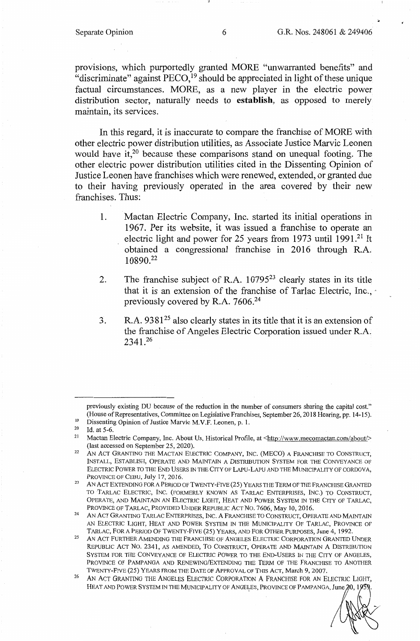provisions, which purportedly granted MORE "unwarranted benefits" and "discriminate" against  $\text{PECO}^{19}$  should be appreciated in light of these unique factual circumstances. MORE, as a new player in the electric power distribution sector, naturally needs to **establish,** as opposed to merely maintain, its services.

In this regard, it is inaccurate to compare the franchise of MORE with other electric power distribution utilities, as Associate Justice Marvic Leonen would have it, $20$  because these comparisons stand on unequal footing. The other electric power distribution utilities cited in the Dissenting Opinion of Justice Leonen have franchises which were renewed, extended, or granted due to their having previously operated in the area covered by their new franchises. Thus:

- 1. Mactan Electric Company, Inc. started its initial operations in 1967. Per its website, it was issued a franchise to operate an electric light and power for 25 years from 1973 until 1991.<sup>21</sup> It obtained a congressional franchise in 2016 through R.A. 10890.22
- 2. The franchise subject of R.A.  $10795^{23}$  clearly states in its title that it is an extension of the franchise of Tarlac Electric, Inc., · previously covered by R.A. 7606.24
- 3. R.A.  $9381^{25}$  also clearly states in its title that it is an extension of the franchise of Angeles Electric Corporation issued under R.A. 2341.<sup>26</sup>

previously existing DU because of the reduction in the number of consumers sharing the capital cost." (House of Representatives, Committee on Legislative Franchises, September 26, 2018 Hearing, pp. 14-15).<br>
<sup>19</sup> Dissenting Opinion of Justice Marvic M.V.F. Leonen, p. 1.<br>
<sup>20</sup> H at 5.6

 $^{20}$  Id. at 5-6.<br> $^{21}$  Mactan E

Mactan Electric Company, Inc. About Us, Historical Profile, at <http://www.mecomactan.com/about/> (last accessed on September 25, 2020). 22 AN ACT GRANTING THE MACTAN ELECTRIC COMPANY, INC. (MECO) A FRANCHISE TO CONSTRUCT,

INSTALL, ESTABLISH, OPERATE AND MAINTAIN A DISTRIBUTION SYSTEM FOR THE CONVEYANCE OF ELECTRIC POWER TO THE END USERS IN THE CITY OF LAPU-LAPU AND THE MUNICIPALITY OF CORDOVA, PROVINCE OF CEBU, July 17, 2016. 23 AN ACT EXTENDING FOR A PERIOD OF TWENTY-FIVE (25) YEARS THE TERM OF THE FRANCHISE GRANTED

TO TARLAC ELECTRIC, INC. (FORMERLY KNOWN AS TARLAC ENTERPRISES, INC.) TO CONSTRUCT, OPERATE, AND MAINTAIN AN ELECTRIC LIGHT, HEAT AND POWER SYSTEM IN THE CITY OF TARLAC,

PROVINCE OF TARLAC, PROVIDED UNDER REPUBLIC ACT NO. 7606, May 10, 2016.<br><sup>24</sup> AN ACT GRANTING TARLAC ENTERPRISES, INC. A FRANCHISE TO CONSTRUCT, OPERATE AND MAINTAIN AN ELECTRIC LIGHT, HEAT AND POWER SYSTEM IN THE MUNICIPALITY OF TARLAC, PROVINCE OF TARLAC, FOR A PERIOD OF TWENTY-FIVE (25) YEARS, AND FOR OTHER PURPOSES, June 4, 1992.

<sup>&</sup>lt;sup>25</sup> AN ACT FURTHER AMENDING THE FRANCHISE OF ANGELES ELECTRIC CORPORATION GRANTED UNDER REPUBLIC ACT No. 2341, AS AMENDED, To CONSTRUCT, OPERATE AND MAINTAIN A DISTRIBUTION SYSTEM FOR THE CONVEYANCE OF ELECTRIC POWER TO THE END-USERS IN THE CITY OF ANGELES, PROVINCE OF PAMPANGA AND RENEWING/EXTENDING THE TERM OF THE FRANCHISE TO ANOTHER TWENTY-FIVE (25) YEARS FROM THE DATE OF APPROVAL OF THIS ACT, March 9, 2007.

AN ACT GRANTING THE ANGELES ELECTRIC CORPORATION A FRANCHISE FOR AN ELECTRIC LIGHT, HEAT AND POWER SYSTEM IN THE MUNICIPALITY OF ANGELES, PROVINCE OF PAMPANGA, June 20, 19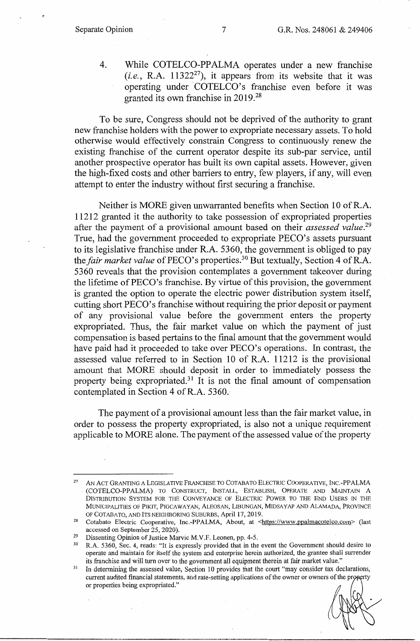4. While COTELCO-PPALMA operates under a new franchise  $(i.e., R.A. 11322<sup>27</sup>)$ , it appears from its website that it was operating under COTELCO's franchise even before it was granted its own franchise in 2019. 28

To be sure, Congress should not be deprived of the authority to grant new franchise holders with the power to expropriate necessary assets. To hold otherwise would effectively constrain Congress to continuously renew the existing franchise of the current operator despite its sub-par service, until another prospective operator has built its own capital assets. However, given the high-fixed costs and other barriers to entry, few players, if any, will even attempt to enter the industry without first securing a franchise.

Neither is MORE given unwarranted benefits when Section 10 ofR.A. 11212 granted it the authority to take possession of expropriated properties after the payment of a provisional amount based on their *assessed value.29*  True, had the government proceeded to expropriate PECO's assets pursuant to its legislative franchise under R.A. 5360, the government is obliged to pay the *fair market value* of PECO's properties.30 But textually, Section 4 ofR.A. 5 3 60 reveals that the provision contemplates a government takeover during the lifetime of PECO's franchise. By virtue of this provision, the government is granted the option to operate the electric power distribution system itself, cutting short PECO's franchise without requiring the prior deposit or payment of any provisional value before the government enters the property expropriated. Thus, the fair market value on which the payment of just compensation is based pertains to the final amount that the government would have paid had it proceeded to take over PECO's operations. In contrast, the assessed value referred to in Section 10 of R.A. 11212 is the provisional amount that MORE should deposit in order to immediately possess the property being expropriated.<sup>31</sup> It is not the final amount of compensation contemplated in Section 4 of R.A. 5360.

The payment of a provisional amount less than the fair market value, in order to possess the property expropriated, is also not a unique requirement applicable to MORE alone. The payment of the assessed value of the property

AN ACT GRANTING A LEGISLATIVE FRANCHISE TO COTABATO ELECTRIC COOPERATIVE, INC.-PPALMA (COTELCO-PPALMA) TO CONSTRUCT, INSTALL, ESTABLISH, OPERATE AND MAINTAIN A DISTRIBUTION SYSTEM FOR THE CONVEYANCE OF ELECTRIC POWER TO THE END USERS IN THE MUNICIPALITIES OF PIKIT, PIGCAWAYAN, ALEOSAN, LIBUNGAN, MIDSAYAP AND ALAMADA, PROVINCE

<sup>&</sup>lt;sup>28</sup> Cotabato Electric Cooperative, Inc.-PPALMA, About, at <https://www.ppalmacotelco.com> (last accessed on September 25, 2020).<br><sup>29</sup> Dissenting Opinion of Justice Marvic M.V.F. Leonen, pp. 4-5.<br><sup>30</sup> R.A. 5360, Sec. 4, reads: "It is expressly provided that in the event the Government should desire to

operate and maintain for itself the system and enterprise herein authorized, the grantee shall surrender

 $11$  In determining the assessed value, Section 10 provides that the court "may consider tax declarations, current audited financial statements, and rate-setting applications of the owner or owners of the property or properties being expropriated."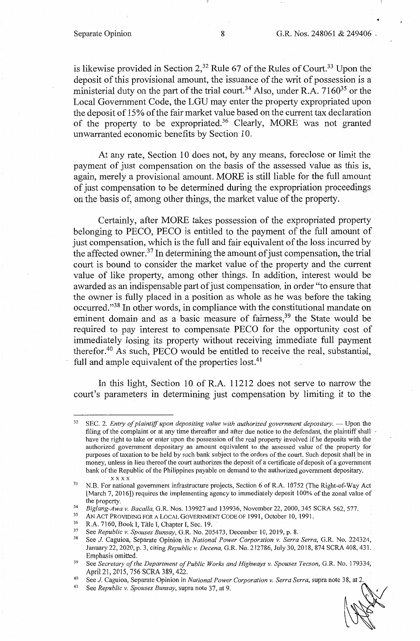"

is likewise provided in Section  $2<sup>32</sup>$  Rule 67 of the Rules of Court.<sup>33</sup> Upon the deposit of this provisional amount, the issuance of the writ of possession is a ministerial duty on the part of the trial court.<sup>34</sup> Also, under R.A. 7160<sup>35</sup> or the Local Government Code, the LGU may enter the property expropriated upon the deposit of 15% of the fair market value based on the current tax declaration of the property to be expropriated.<sup>36</sup> Clearly, MORE was not granted unwarranted economic benefits by Section 10.

At any rate, Section IO does not, by any means, foreclose or limit the payment of just compensation on the basis of the assessed value as this is, again, merely a provisional amount. MORE is still liable for the full amount of just compensation to be determined during the expropriation proceedings on the basis of, among other things, the market value of the property.

Certainly, after MORE takes possession of the expropriated property belonging to PECO, PECO is entitled to the payment of the full amount of just compensation, which is the full and fair equivalent of the loss incurred by the affected owner.<sup>37</sup> In determining the amount of just compensation, the trial court is bound to consider the market value of the property and the current value of like property, among other things. In addition, interest would be awarded as an indispensable part of just compensation, in order "to ensure that the owner is fully placed in a position as whole as he was before the taking occurred. "38 In other words, in compliance with the constitutional mandate on eminent domain and as a basic measure of fairness,<sup>39</sup> the State would be required to pay interest to compensate PECO for the opportunity cost of immediately losing its property without receiving immediate full payment therefor.40 As such, PECO would be entitled to receive the real, substantial, full and ample equivalent of the properties lost.<sup>41</sup>

In this light, Section 10 of R.A. 11212 does not serve to narrow the court's parameters in determining just compensation by limiting it to the

<sup>&</sup>lt;sup>32</sup> SEC. 2. *Entry of plaintiff upon depositing value with authorized government depositary*. — Upon the filing of the complaint or at any time thereafter and after due notice to the defendant, the plaintiff shall have the right to take or enter upon the possession of the real property involved if he deposits with the authorized government depositary an amount equivalent to the assessed value of the property for purposes of taxation to be held by such bank subject to the orders of the court. Such deposit shall be in money, unless in lieu thereof the court authorizes the deposit of a certificate of deposit of a government bank of the Republic of the Philippines payable on demand to the authorized government depositary.

 $x \times x$ <br>33 N.B. For national government infrastructure projects, Section 6 of R.A. 10752 (The Right-of-Way Act [March 7, 2016]) requires the implementing agency to immediately deposit 100% of the zonal value of

the property.<br> *Biglang-Awa v. Bacalla, G.R. Nos.* 139927 and 139936, November 22, 2000, 345 SCRA 562, 577.<br>
AN ACT PROVIDING FOR A LOCAL GOVERNMENT CODE OF 1991, October 10, 1991.<br>
R.A. 7160, Book I, Title I, Chapter I, S

January 22, 2020, p. 3, citing *Republic v. Decena,* G.R. No. 212786, July 30, 2018, 874 SCRA 408, 431. Emphasis omitted. 39 See *Secretary of the Department of Public Works and Highways v. Spouses Tecson,* G.R. No. 179334,

April 21, 2015, 756 SCRA 389,422.

<sup>40</sup> See *J.* Caguioa, Separate Opinion in *National Power Corporation v. Serra Serra,* supra note 38, at 2. April 21, 2015, 756 SCRA 389, 422.<br><sup>40</sup> See *J*. Caguioa, Separate Opinion in *National Power Corporation v. Serra Serra*, supra note 38, at 2.<br><sup>41</sup> See *Republic v. Spouses Bunsay*, supra note 37, at 9.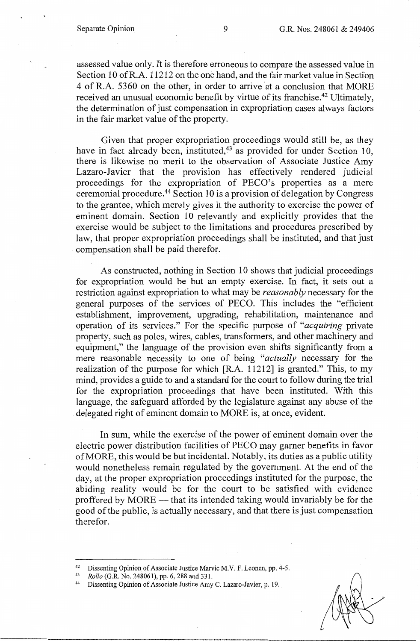assessed value only. It is therefore erroneous to compare the assessed value in Section 10 of R.A. 11212 on the one hand, and the fair market value in Section 4 of R.A. 5360 on the other, in order to arrive at a conclusion that MORE received an unusual economic benefit by virtue of its franchise.<sup>42</sup> Ultimately, the determination of just compensation in expropriation cases always factors in the fair market value of the property.

Given that proper expropriation proceedings would still be, as they have in fact already been, instituted,<sup>43</sup> as provided for under Section 10, there is likewise no merit to the observation of Associate Justice Amy Lazaro-Javier that the provision has effectively rendered judicial proceedings for the expropriation of PECO's properties as a mere ceremonial procedure. 44 Section 10 is a provision of delegation by Congress to the grantee, which merely gives it the authority to exercise the power of eminent domain. Section 10 relevantly and explicitly provides that the exercise would be subject to the limitations and procedures prescribed by law, that proper expropriation proceedings shall be instituted, and that just compensation shall be paid therefor.

As constructed, nothing in Section 10 shows that judicial proceedings for expropriation would be but an empty exercise. In fact, it sets out a restriction against expropriation to what may be *reasonably* necessary for the general purposes of the services of PECO. This includes the "efficient establishment, improvement, upgrading, rehabilitation, maintenance and operation of its services." For the specific purpose of *"acquiring* private property, such as poles, wires, cables, transformers, and other machinery and equipment," the language of the provision even shifts significantly from a mere reasonable necessity to one of being *"actually* necessary for the realization of the purpose for which **[R.A.** 11212] is granted." This, to my mind, provides a guide to and a standard for the court to follow during the trial for the expropriation proceedings that have been instituted. With this language, the safeguard afforded by the legislature against any abuse of the delegated right of eminent domain to MORE is, at once, evident.

In sum, while the exercise of the power of eminent domain over the electric power distribution facilities of PECO may garner benefits in favor ofMORE, this would be but incidental. Notably, its duties as a public utility would nonetheless remain regulated by the government. At the end of the day, at the proper expropriation proceedings instituted for the purpose, the abiding reality would be for the court to be satisfied with evidence proffered by MORE — that its intended taking would invariably be for the good of the public, is actually necessary, and that there is just compensation therefor.

<sup>42</sup> Dissenting Opinion of Associate Justice Marvic M.V. F. Leonen, pp. 4-5. 43 *Rollo* (G.R. No. 248061), pp. 6,288 and 331. 44 Dissenting Opinion of Associate Justice Amy C. Lazaro-Javier, p. 19.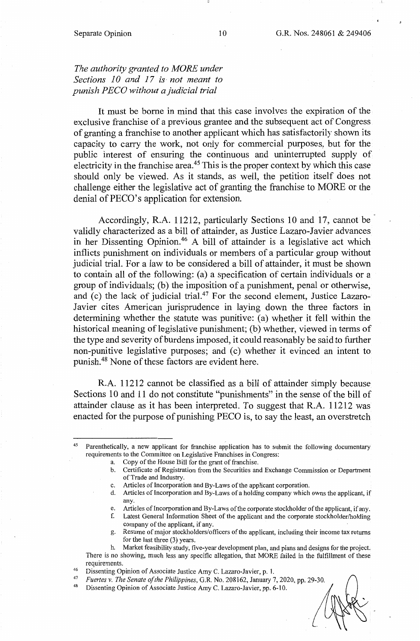# The authority granted to MORE under *Sections 10 and 17 is· not meant to punish PECO without a judicial trial*

It must be borne in mind that this case involves the expiration of the exclusive franchise of a previous grantee and the subsequent act of Congress of granting a franchise to another applicant which has satisfactorily shown its capacity to carry the work, not only for commercial purposes, but for the public interest of ensuring the continuous and uninterrupted supply of electricity in the franchise area.<sup>45</sup> This is the proper context by which this case should only be viewed. As it stands, as well, the petition itself does not challenge either the legislative act of granting the franchise to MORE or the denial of PECO's application for extension.

Accordingly, R.A. 11212, particularly Sections 10 and 17, cannot be validly characterized as a bill of attainder, as Justice Lazaro-Javier advances in her Dissenting Opinion.<sup>46</sup> A bill of attainder is a legislative act which inflicts punishment on individuals or members of a particular group without judicial trial. For a law to be considered a bill of attainder, it must be shown to contain all of the following: (a) a specification of certain individuals or a group of individuals; (b) the imposition of a punishment, penal or otherwise, and (c) the lack of judicial trial.<sup>47</sup> For the second element, Justice Lazaro-Javier cites American jurisprudence in laying down the three factors in determining whether the statute was punitive: (a) whether it fell within the historical meaning of legislative punishment; (b) whether, viewed in terms of the type and severity of burdens imposed, it could reasonably be said to further non-punitive legislative purposes; and (c) whether it evinced an intent to punish.48 None of these factors are evident here.

R.A. 11212 cannot be classified as a bill of attainder simply because Sections 10 and 11 do not constitute "punishments" in the sense of the bill of attainder clause as it has been interpreted. To suggest that R.A. 11212 was enacted for the purpose of punishing PECO is, to say the least, an overstretch

- d. Articles of Incorporation and By-Laws of a holding company which owns the applicant, if any.
- e. Articles of Incorporation and By-Laws of the corporate stockholder of the applicant, if any.
- f. Latest General Information Sheet of the applicant and the corporate stockholder/holding company of the applicant, if any.
- Resume of major stockholders/officers of the applicant, including their income tax returns for the last three (3) years.
- h. Market feasibility study, five-year development plan, and plans and designs for the project. There is no showing, much less any specific allegation, that MORE failed in the fulfillment of these

Parenthetically, a new applicant for franchise application has to submit the following documentary requirements to the Committee on Legislative Franchises in Congress:

a. Copy of the House Bill for the grant of franchise.

b. Certificate of Registration from the Securities and Exchange Commission or Department of Trade and Industry.

c. Articles of Incorporation and By-Laws of the applicant corporation.

requirements.<br>
<sup>46</sup> Dissenting Opinion of Associate Justice Amy C. Lazaro-Javier, p. 1.<br>
<sup>47</sup> Eugeniae V. The Saugta of the Philippines C. P. Ne. 202162. Innumeric

<sup>47</sup> *Fuertes v. The Senate of the Philippines,* G.R. No. 208162, January 7, 2020, pp. 29-30. 48 Dissenting Opinion of Associate Justice Amy C. Lazaro-Javier, pp. 6-10.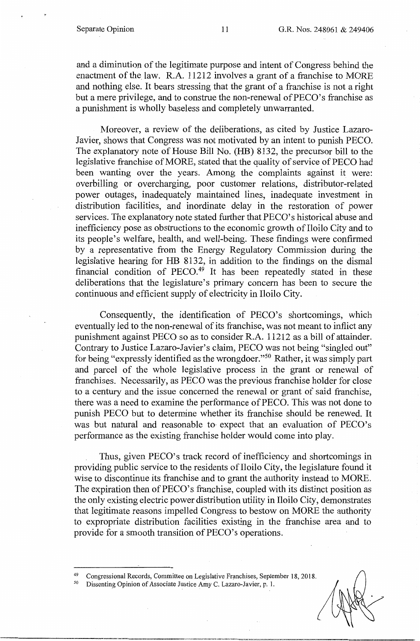and a diminution of the legitimate purpose and intent of Congress behind the enactment of the law. R.A. 11212 involves a grant of a franchise to MORE and nothing else. It bears stressing that the grant of a franchise is not a right but a mere privilege, and to construe the non-renewal of PECO's franchise as a punishment is wholly baseless and completely unwarranted.

Moreover, a review of the deliberations, as cited by Justice Lazaro-Javier, shows that Congress was not motivated by an intent to punish PECO. The explanatory note of House Bill No. (HB) 8132, the precursor bill to the legislative franchise of MORE, stated that the quality of service of PECO had been wanting over the years. Among the complaints against it were: overbilling or overcharging, poor customer relations, distributor-related power outages, inadequately maintained lines, inadequate investment in distribution facilities, and inordinate delay in the restoration of power services. The explanatory note stated further that PECO's historical abuse and inefficiency pose as obstructions to the economic growth of Iloilo City and to its people's welfare, health, and well-being. These findings were confirmed by a representative from the Energy Regulatory Commission during the legislative hearing for HB 8132, in addition to the findings on the dismal financial condition of PECO.<sup>49</sup> It has been repeatedly stated in these deliberations that the legislature's primary concern has been to secure the continuous and efficient supply of electricity in Iloilo City.

Consequently, the identification of PECO's shortcomings, which eventually led to the non-renewal of its franchise, was not meant to inflict any punishment against PECO so as to consider R.A. 11212 as a bill of attainder. Contrary to Justice Lazaro-Javier's claim, PECO was not being "singled out" for being "expressly identified as the wrongdoer."50 Rather, it was simply part and parcel of the whole legislative process in the grant or renewal of franchises. Necessarily, as PECO was the previous franchise holder for close to a century and the issue concerned the renewal or grant of said franchise, there was a need to examine the performance of PECO. This was not done to punish PECO but to determine whether its franchise should be renewed. It was but natural and reasonable to· expect that an evaluation of PECO's performance as the existing franchise holder would come into play.

Thus, given PECO's track record of inefficiency and shortcomings in providing public service to the residents of Iloilo City, the legislature found it wise to discontinue its franchise and to grant the authority instead to MORE. The expiration then of PECO's franchise, coupled with its distinct position as the only existing electric power distribution utility in Iloilo City, demonstrates that legitimate reasons impelled Congress to bestow on MORE the authority to expropriate distribution facilities existing in the franchise area and to provide for a smooth transition of PECO's operations.

<sup>49</sup> Congressional Records, Committee on Legislative Franchises, September 18, 2018.<br><sup>50</sup> Dissenting Opinion of Associate Justice Amy C. Lazaro-Javier, p. 1.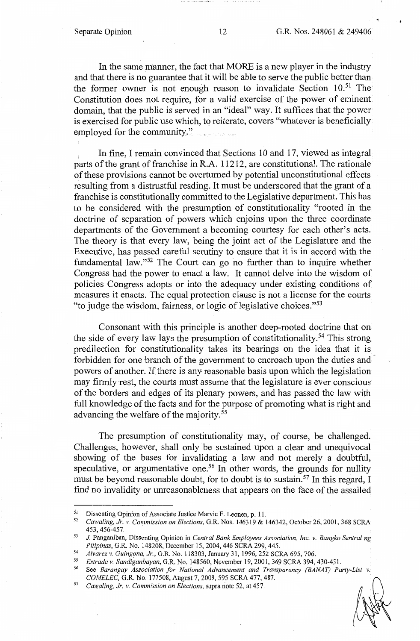In the same manner, the fact that MORE is a new player in the industry and that there is no guarantee that it will be able to serve the public better than the former owner is not enough reason to invalidate Section 10.<sup>51</sup> The Constitution does not require, for a valid exercise of the power of eminent domain, that the public is served in an "ideal" way. It suffices that the power is exercised for public use which, to reiterate, covers "whatever is beneficially employed for the community."

In fine, I remain convinced that Sections 10 and 17, viewed as integral parts of the grant of franchise in **R.A.** 11212, are constitutional. The rationale of these provisions cannot be overturned by potential unconstitutional effects resulting from a distrustful reading. It must be underscored that the grant of a franchise is constitutionally committed to the Legislative department. This has to be considered with the presumption of constitutionality "rooted in the doctrine of separation of powers which enjoins upon the three coordinate departments of the Government a becoming courtesy for each other's acts. The theory is that every law, being the joint act of the Legislature and the Executive, has passed careful scrutiny to ensure that it is in accord with the fundamental law."52 The Court can go no further than to inquire whether Congress had the power to enact a law. It cannot delve into the wisdom of policies Congress adopts or into the adequacy under existing conditions of measures it enacts. The equal protection clause is not a license for the courts "to judge the wisdom, fairness, or logic of legislative choices."53

Consonant with this principle is another deep-rooted doctrine that on the side of every law lays the presumption of constitutionality. 54 This strong predilection for constitutionality takes its bearings on the idea that it is forbidden for one branch of the government to encroach upon the duties and powers of another. If there is any reasonable basis upon which the legislation may firmly rest, the courts must assume that the legislature is ever conscious of the borders and edges of its plenary powers, and has passed the law with full knowledge of the facts and for the purpose of promoting what is right and advancing the welfare of the majority. <sup>55</sup>

The presumption of constitutionality may, of course, be challenged. Challenges, however, shall only be sustained upon a clear and unequivocal showing of the bases for invalidating a law and not merely a doubtful, speculative, or argumentative one.<sup>56</sup> In other words, the grounds for nullity must be beyond reasonable doubt, for to doubt is to sustain.57 In this regard, I find no invalidity or unreasonableness that appears on the face of the assailed

51 Dissenting Opinion of Associate Justice Marvic F. Leonen, p. 11. 52 *Cawaling, Jr. v. Commission on Elections,* G.R. Nos. 146319 & 146342, October 26, 2001, 368 SCRA 453, 456-457. 53 *J.* Panganiban, Dissenting Opinion in *Central Bank Employees Association, Inc. v. Bangko Sentral ng* 

*Pilipinas, G.R. No. 148208, December 15, 2004, 446 SCRA 299, 445.*<br>*Alvarez v. Guingona, Jr., G.R. No. 118303, January 31, 1996, 252 SCRA 695, 706.*<br>*55 Estrada y Sandiganhayan*, G.P. No. 148560, November 19, 2001, 369

*<sup>55</sup> Estrada v. Sandiganbayan,* G.R. No. 148560, November 19, 2001, 369 SCRA 394, 430-431.

*<sup>56</sup>*See *Barangay Association for National Advancement and Transparency (BANAT) Party-List v. COMELEC,* G.R. No. 177508, August 7, 2009, 595 SCRA 477,487. 57 *Cawaling, Jr.* V. *Commission on Elections,* supra note 52, at 457.